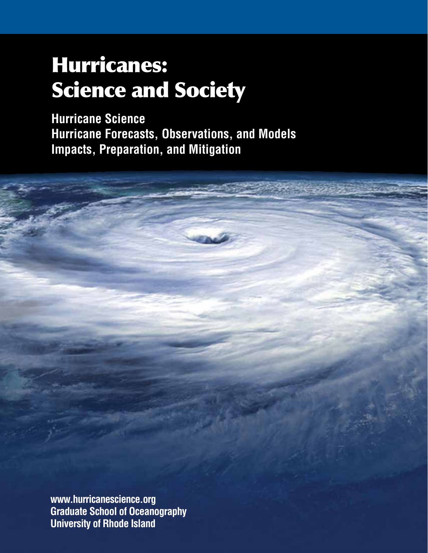## Hurricanes: Science and Society

**Hurricane Science Hurricane Forecasts, Observations, and Models Impacts, Preparation, and Mitigation**

**www.hurricanescience.org Graduate School of Oceanography University of Rhode Island**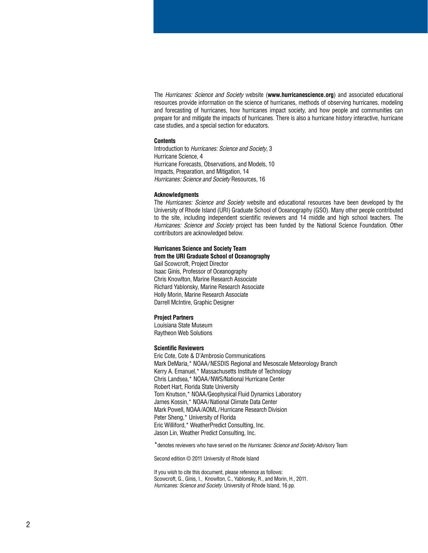The *Hurricanes: Science and Society* website (**www.hurricanescience.org**) and associated educational resources provide information on the science of hurricanes, methods of observing hurricanes, modeling and forecasting of hurricanes, how hurricanes impact society, and how people and communities can prepare for and mitigate the impacts of hurricanes. There is also a hurricane history interactive, hurricane case studies, and a special section for educators.

#### **Contents**

Introduction to *Hurricanes: Science and Society*, 3 Hurricane Science, 4 Hurricane Forecasts, Observations, and Models, 10 Impacts, Preparation, and Mitigation, 14 *Hurricanes: Science and Society* Resources, 16

#### **Acknowledgments**

The *Hurricanes: Science and Society* website and educational resources have been developed by the University of Rhode Island (URI) Graduate School of Oceanography (GSO). Many other people contributed to the site, including independent scientific reviewers and 14 middle and high school teachers. The *Hurricanes: Science and Society* project has been funded by the National Science Foundation. Other contributors are acknowledged below.

#### **Hurricanes Science and Society Team**

**from the URI Graduate School of Oceanography**

Gail Scowcroft, Project Director Isaac Ginis, Professor of Oceanography Chris Knowlton, Marine Research Associate Richard Yablonsky, Marine Research Associate Holly Morin, Marine Research Associate Darrell McIntire, Graphic Designer

#### **Project Partners**

Louisiana State Museum Raytheon Web Solutions

#### **Scientific Reviewers**

Eric Cote, Cote & D'Ambrosio Communications Mark DeMaria,\* NOAA/NESDIS Regional and Mesoscale Meteorology Branch Kerry A. Emanuel,\* Massachusetts Institute of Technology Chris Landsea,\* NOAA/NWS/National Hurricane Center Robert Hart, Florida State University Tom Knutson,\* NOAA/Geophysical Fluid Dynamics Laboratory James Kossin,\* NOAA/National Climate Data Center Mark Powell, NOAA/AOML/Hurricane Research Division Peter Sheng,\* University of Florida Eric Williford,\* WeatherPredict Consulting, Inc. Jason Lin, Weather Predict Consulting, Inc.

\*denotes reviewers who have served on the *Hurricanes: Science and Society* Advisory Team

Second edition © 2011 University of Rhode Island

If you wish to cite this document, please reference as follows: Scowcroft, G., Ginis, I., Knowlton, C., Yablonsky, R., and Morin, H., 2011. *Hurricanes: Science and Society*. University of Rhode Island, 16 pp.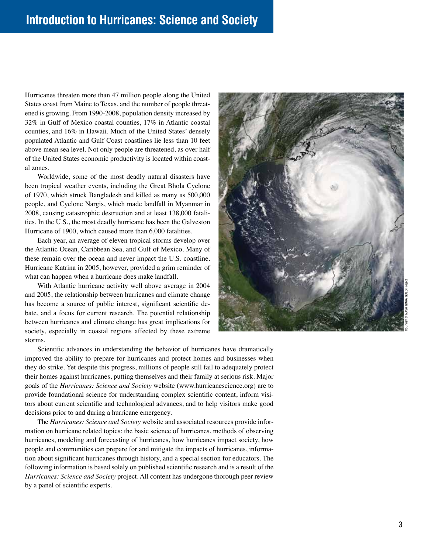Hurricanes threaten more than 47 million people along the United States coast from Maine to Texas, and the number of people threatened is growing. From 1990-2008, population density increased by 32% in Gulf of Mexico coastal counties, 17% in Atlantic coastal counties, and 16% in Hawaii. Much of the United States' densely populated Atlantic and Gulf Coast coastlines lie less than 10 feet above mean sea level. Not only people are threatened, as over half of the United States economic productivity is located within coastal zones.

Worldwide, some of the most deadly natural disasters have been tropical weather events, including the Great Bhola Cyclone of 1970, which struck Bangladesh and killed as many as 500,000 people, and Cyclone Nargis, which made landfall in Myanmar in 2008, causing catastrophic destruction and at least 138,000 fatalities. In the U.S., the most deadly hurricane has been the Galveston Hurricane of 1900, which caused more than 6,000 fatalities.

Each year, an average of eleven tropical storms develop over the Atlantic Ocean, Caribbean Sea, and Gulf of Mexico. Many of these remain over the ocean and never impact the U.S. coastline. Hurricane Katrina in 2005, however, provided a grim reminder of what can happen when a hurricane does make landfall.

With Atlantic hurricane activity well above average in 2004 and 2005, the relationship between hurricanes and climate change has become a source of public interest, significant scientific debate, and a focus for current research. The potential relationship between hurricanes and climate change has great implications for society, especially in coastal regions affected by these extreme storms.



Scientific advances in understanding the behavior of hurricanes have dramatically improved the ability to prepare for hurricanes and protect homes and businesses when they do strike. Yet despite this progress, millions of people still fail to adequately protect their homes against hurricanes, putting themselves and their family at serious risk. Major goals of the *Hurricanes: Science and Society* website (www.hurricanescience.org) are to provide foundational science for understanding complex scientific content, inform visitors about current scientific and technological advances, and to help visitors make good decisions prior to and during a hurricane emergency.

The *Hurricanes: Science and Society* website and associated resources provide information on hurricane related topics: the basic science of hurricanes, methods of observing hurricanes, modeling and forecasting of hurricanes, how hurricanes impact society, how people and communities can prepare for and mitigate the impacts of hurricanes, information about significant hurricanes through history, and a special section for educators. The following information is based solely on published scientific research and is a result of the *Hurricanes: Science and Society* project. All content has undergone thorough peer review by a panel of scientific experts.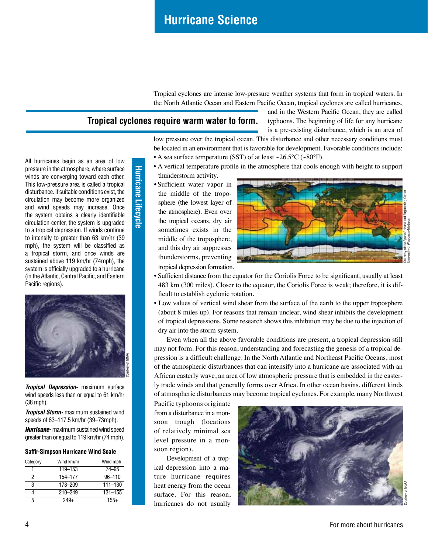Tropical cyclones are intense low-pressure weather systems that form in tropical waters. In the North Atlantic Ocean and Eastern Pacific Ocean, tropical cyclones are called hurricanes,

#### **Tropical cyclones require warm water to form.**

**Hurricane Lifecycle**

**Hurricane Lifecycle** 

and in the Western Pacific Ocean, they are called typhoons. The beginning of life for any hurricane is a pre-existing disturbance, which is an area of

low pressure over the tropical ocean. This disturbance and other necessary conditions must be located in an environment that is favorable for development. Favorable conditions include:

- A sea surface temperature (SST) of at least  $\sim$ 26.5°C ( $\sim$ 80°F).
- A vertical temperature profile in the atmosphere that cools enough with height to support thunderstorm activity.
- tropical depression formation. • Sufficient water vapor in the middle of the troposphere (the lowest layer of the atmosphere). Even over the tropical oceans, dry air sometimes exists in the middle of the troposphere, and this dry air suppresses thunderstorms, preventing



- Sufficient distance from the equator for the Coriolis Force to be significant, usually at least 483 km (300 miles). Closer to the equator, the Coriolis Force is weak; therefore, it is difficult to establish cyclonic rotation.
- Low values of vertical wind shear from the surface of the earth to the upper troposphere (about 8 miles up). For reasons that remain unclear, wind shear inhibits the development of tropical depressions. Some research shows this inhibition may be due to the injection of dry air into the storm system.

Even when all the above favorable conditions are present, a tropical depression still may not form. For this reason, understanding and forecasting the genesis of a tropical depression is a difficult challenge. In the North Atlantic and Northeast Pacific Oceans, most of the atmospheric disturbances that can intensify into a hurricane are associated with an African easterly wave, an area of low atmospheric pressure that is embedded in the easterly trade winds and that generally forms over Africa. In other ocean basins, different kinds of atmospheric disturbances may become tropical cyclones. For example, many Northwest

Pacific typhoons originate from a disturbance in a monsoon trough (locations of relatively minimal sea level pressure in a monsoon region).

Development of a tropical depression into a mature hurricane requires heat energy from the ocean surface. For this reason, hurricanes do not usually



All hurricanes begin as an area of low pressure in the atmosphere, where surface winds are converging toward each other. This low-pressure area is called a tropical disturbance. If suitable conditions exist, the circulation may become more organized and wind speeds may increase. Once the system obtains a clearly identifiable circulation center, the system is upgraded to a tropical depression. If winds continue to intensify to greater than 63 km/hr (39 mph), the system will be classified as a tropical storm, and once winds are sustained above 119 km/hr (74mph), the system is officially upgraded to a hurricane (in the Atlantic, Central Pacific, and Eastern Pacific regions).



*Tropical Depression-* maximum surface wind speeds less than or equal to 61 km/hr (38 mph).

*Tropical Storm-* maximum sustained wind speeds of 63–117.5 km/hr (39–73mph).

*Hurricane-* maximum sustained wind speed greater than or equal to 119 km/hr (74 mph).

#### **Saffir-Simpson Hurricane Wind Scale**

| Category | Wind km/hr  | Wind mph    |
|----------|-------------|-------------|
|          | 119-153     | 74-95       |
| 2        | 154-177     | $96 - 110$  |
| 3        | 178-209     | $111 - 130$ |
|          | $210 - 249$ | $131 - 155$ |
| 5        | 249+        | $155+$      |
|          |             |             |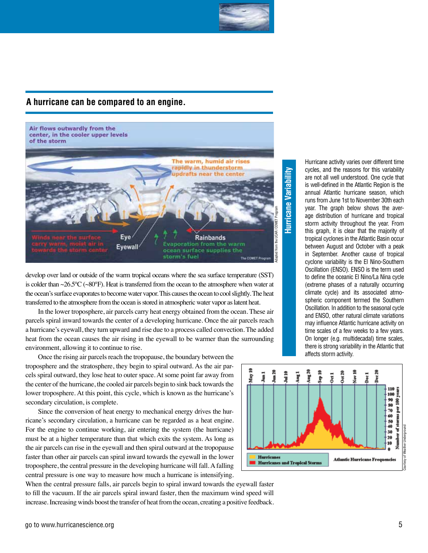

#### **A hurricane can be compared to an engine.**

#### Air flows outwardly from the center, in the cooler upper levels of the storm



develop over land or outside of the warm tropical oceans where the sea surface temperature (SST) is colder than ~26.5°C (~80°F). Heat is transferred from the ocean to the atmosphere when water at the ocean's surface evaporates to become water vapor. This causes the ocean to cool slightly. The heat transferred to the atmosphere from the ocean is stored in atmospheric water vapor as latent heat.

In the lower troposphere, air parcels carry heat energy obtained from the ocean. These air parcels spiral inward towards the center of a developing hurricane. Once the air parcels reach a hurricane's eyewall, they turn upward and rise due to a process called convection. The added heat from the ocean causes the air rising in the eyewall to be warmer than the surrounding environment, allowing it to continue to rise.

Once the rising air parcels reach the tropopause, the boundary between the troposphere and the stratosphere, they begin to spiral outward. As the air parcels spiral outward, they lose heat to outer space. At some point far away from the center of the hurricane, the cooled air parcels begin to sink back towards the lower troposphere. At this point, this cycle, which is known as the hurricane's secondary circulation, is complete.

Since the conversion of heat energy to mechanical energy drives the hurricane's secondary circulation, a hurricane can be regarded as a heat engine. For the engine to continue working, air entering the system (the hurricane) must be at a higher temperature than that which exits the system. As long as the air parcels can rise in the eyewall and then spiral outward at the tropopause faster than other air parcels can spiral inward towards the eyewall in the lower troposphere, the central pressure in the developing hurricane will fall. A falling central pressure is one way to measure how much a hurricane is intensifying.

When the central pressure falls, air parcels begin to spiral inward towards the eyewall faster to fill the vacuum. If the air parcels spiral inward faster, then the maximum wind speed will increase. Increasing winds boost the transfer of heat from the ocean, creating a positive feedback.

# **Hurricane Variability** Hurricane Variability

Hurricane activity varies over different time cycles, and the reasons for this variability are not all well understood. One cycle that is well-defined in the Atlantic Region is the annual Atlantic hurricane season, which runs from June 1st to November 30th each year. The graph below shows the average distribution of hurricane and tropical storm activity throughout the year. From this graph, it is clear that the majority of tropical cyclones in the Atlantic Basin occur between August and October with a peak in September. Another cause of tropical cyclone variability is the El Nino-Southern Oscillation (ENSO). ENSO is the term used to define the oceanic El Nino/La Nina cycle (extreme phases of a naturally occurring climate cycle) and its associated atmospheric component termed the Southern Oscillation. In addition to the seasonal cycle and ENSO, other natural climate variations may influence Atlantic hurricane activity on time scales of a few weeks to a few years. On longer (e.g. multidecadal) time scales, there is strong variability in the Atlantic that affects storm activity.

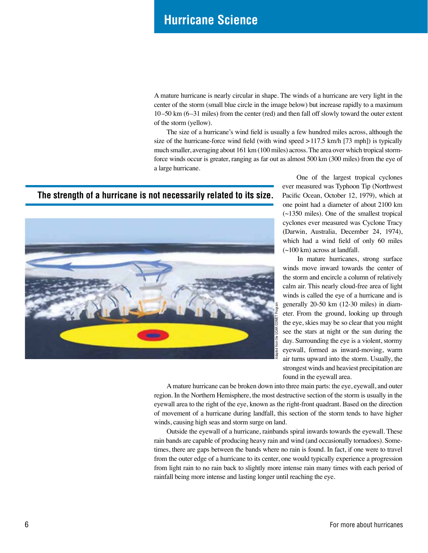## **Hurricane Science**

A mature hurricane is nearly circular in shape. The winds of a hurricane are very light in the center of the storm (small blue circle in the image below) but increase rapidly to a maximum 10–50 km (6–31 miles) from the center (red) and then fall off slowly toward the outer extent of the storm (yellow).

The size of a hurricane's wind field is usually a few hundred miles across, although the size of the hurricane-force wind field (with wind speed >117.5 km/h [73 mph]) is typically much smaller, averaging about 161 km (100 miles) across. The area over which tropical stormforce winds occur is greater, ranging as far out as almost 500 km (300 miles) from the eye of a large hurricane.

#### **The strength of a hurricane is not necessarily related to its size.**



 One of the largest tropical cyclones ever measured was Typhoon Tip (Northwest Pacific Ocean, October 12, 1979), which at one point had a diameter of about 2100 km  $(-1350)$  miles). One of the smallest tropical cyclones ever measured was Cyclone Tracy (Darwin, Australia, December 24, 1974), which had a wind field of only 60 miles  $(\sim]100 \text{ km}$ ) across at landfall.

In mature hurricanes, strong surface winds move inward towards the center of the storm and encircle a column of relatively calm air. This nearly cloud-free area of light winds is called the eye of a hurricane and is generally 20-50 km (12-30 miles) in diameter. From the ground, looking up through the eye, skies may be so clear that you might see the stars at night or the sun during the day. Surrounding the eye is a violent, stormy eyewall, formed as inward-moving, warm air turns upward into the storm. Usually, the strongest winds and heaviest precipitation are found in the eyewall area.

A mature hurricane can be broken down into three main parts: the eye, eyewall, and outer region. In the Northern Hemisphere, the most destructive section of the storm is usually in the eyewall area to the right of the eye, known as the right-front quadrant. Based on the direction of movement of a hurricane during landfall, this section of the storm tends to have higher winds, causing high seas and storm surge on land.

Outside the eyewall of a hurricane, rainbands spiral inwards towards the eyewall. These rain bands are capable of producing heavy rain and wind (and occasionally tornadoes). Sometimes, there are gaps between the bands where no rain is found. In fact, if one were to travel from the outer edge of a hurricane to its center, one would typically experience a progression from light rain to no rain back to slightly more intense rain many times with each period of rainfall being more intense and lasting longer until reaching the eye.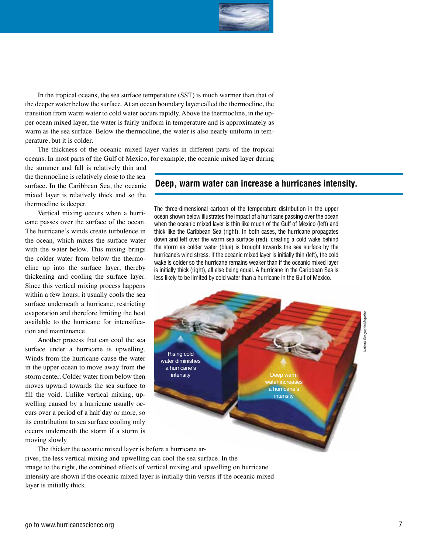

In the tropical oceans, the sea surface temperature (SST) is much warmer than that of the deeper water below the surface. At an ocean boundary layer called the thermocline, the transition from warm water to cold water occurs rapidly. Above the thermocline, in the upper ocean mixed layer, the water is fairly uniform in temperature and is approximately as warm as the sea surface. Below the thermocline, the water is also nearly uniform in temperature, but it is colder.

The thickness of the oceanic mixed layer varies in different parts of the tropical oceans. In most parts of the Gulf of Mexico, for example, the oceanic mixed layer during

the summer and fall is relatively thin and the thermocline is relatively close to the sea surface. In the Caribbean Sea, the oceanic mixed layer is relatively thick and so the thermocline is deeper.

Vertical mixing occurs when a hurricane passes over the surface of the ocean. The hurricane's winds create turbulence in the ocean, which mixes the surface water with the water below. This mixing brings the colder water from below the thermocline up into the surface layer, thereby thickening and cooling the surface layer. Since this vertical mixing process happens within a few hours, it usually cools the sea surface underneath a hurricane, restricting evaporation and therefore limiting the heat available to the hurricane for intensification and maintenance.

Another process that can cool the sea surface under a hurricane is upwelling. Winds from the hurricane cause the water in the upper ocean to move away from the storm center. Colder water from below then moves upward towards the sea surface to fill the void. Unlike vertical mixing, upwelling caused by a hurricane usually occurs over a period of a half day or more, so its contribution to sea surface cooling only occurs underneath the storm if a storm is moving slowly

#### **Deep, warm water can increase a hurricanes intensity.**

The three-dimensional cartoon of the temperature distribution in the upper ocean shown below illustrates the impact of a hurricane passing over the ocean when the oceanic mixed layer is thin like much of the Gulf of Mexico (left) and thick like the Caribbean Sea (right). In both cases, the hurricane propagates down and left over the warm sea surface (red), creating a cold wake behind the storm as colder water (blue) is brought towards the sea surface by the hurricane's wind stress. If the oceanic mixed layer is initially thin (left), the cold wake is colder so the hurricane remains weaker than if the oceanic mixed layer is initially thick (right), all else being equal. A hurricane in the Caribbean Sea is less likely to be limited by cold water than a hurricane in the Gulf of Mexico.



The thicker the oceanic mixed layer is before a hurricane arrives, the less vertical mixing and upwelling can cool the sea surface. In the image to the right, the combined effects of vertical mixing and upwelling on hurricane intensity are shown if the oceanic mixed layer is initially thin versus if the oceanic mixed layer is initially thick.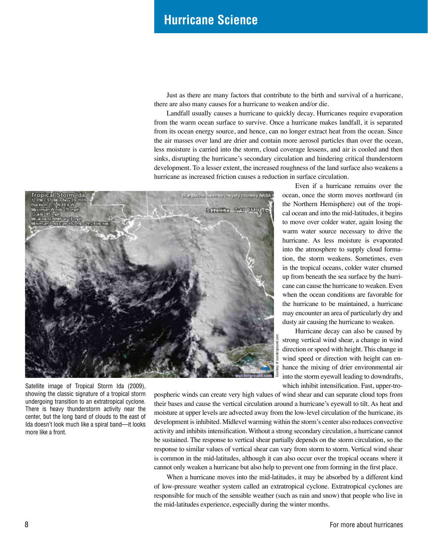## **Hurricane Science**

Just as there are many factors that contribute to the birth and survival of a hurricane, there are also many causes for a hurricane to weaken and/or die.

Landfall usually causes a hurricane to quickly decay. Hurricanes require evaporation from the warm ocean surface to survive. Once a hurricane makes landfall, it is separated from its ocean energy source, and hence, can no longer extract heat from the ocean. Since the air masses over land are drier and contain more aerosol particles than over the ocean, less moisture is carried into the storm, cloud coverage lessens, and air is cooled and then sinks, disrupting the hurricane's secondary circulation and hindering critical thunderstorm development. To a lesser extent, the increased roughness of the land surface also weakens a hurricane as increased friction causes a reduction in surface circulation.



Satellite image of Tropical Storm Ida (2009), showing the classic signature of a tropical storm undergoing transition to an extratropical cyclone. There is heavy thunderstorm activity near the center, but the long band of clouds to the east of Ida doesn't look much like a spiral band—it looks more like a front.

Even if a hurricane remains over the ocean, once the storm moves northward (in the Northern Hemisphere) out of the tropical ocean and into the mid-latitudes, it begins to move over colder water, again losing the warm water source necessary to drive the hurricane. As less moisture is evaporated into the atmosphere to supply cloud formation, the storm weakens. Sometimes, even in the tropical oceans, colder water churned up from beneath the sea surface by the hurricane can cause the hurricane to weaken. Even when the ocean conditions are favorable for the hurricane to be maintained, a hurricane may encounter an area of particularly dry and dusty air causing the hurricane to weaken.

Hurricane decay can also be caused by strong vertical wind shear, a change in wind direction or speed with height. This change in wind speed or direction with height can enhance the mixing of drier environmental air into the storm eyewall leading to downdrafts, which inhibit intensification. Fast, upper-tro-

pospheric winds can create very high values of wind shear and can separate cloud tops from their bases and cause the vertical circulation around a hurricane's eyewall to tilt. As heat and moisture at upper levels are advected away from the low-level circulation of the hurricane, its development is inhibited. Midlevel warming within the storm's center also reduces convective activity and inhibits intensification. Without a strong secondary circulation, a hurricane cannot be sustained. The response to vertical shear partially depends on the storm circulation, so the response to similar values of vertical shear can vary from storm to storm. Vertical wind shear is common in the mid-latitudes, although it can also occur over the tropical oceans where it cannot only weaken a hurricane but also help to prevent one from forming in the first place.

When a hurricane moves into the mid-latitudes, it may be absorbed by a different kind of low-pressure weather system called an extratropical cyclone. Extratropical cyclones are responsible for much of the sensible weather (such as rain and snow) that people who live in the mid-latitudes experience, especially during the winter months.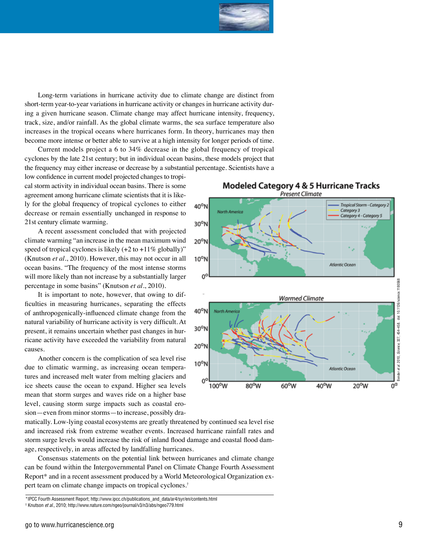

Long-term variations in hurricane activity due to climate change are distinct from short-term year-to-year variations in hurricane activity or changes in hurricane activity dur ing a given hurricane season. Climate change may affect hurricane intensity, frequency, track, size, and/or rainfall. As the global climate warms, the sea surface temperature also increases in the tropical oceans where hurricanes form. In theory, hurricanes may then become more intense or better able to survive at a high intensity for longer periods of time.

Current models project a 6 to 34% decrease in the global frequency of tropical cyclones by the late 21st century; but in individual ocean basins, these models project that the frequency may either increase or decrease by a substantial percentage. Scientists have a

low confidence in current model projected changes to tropi cal storm activity in individual ocean basins. There is some agreement among hurricane climate scientists that it is like ly for the global frequency of tropical cyclones to either decrease or remain essentially unchanged in response to 21st century climate warming.

A recent assessment concluded that with projected climate warming "an increase in the mean maximum wind speed of tropical cyclones is likely  $(+2 \text{ to } +11\% \text{ globally})$ " (Knutson *et al.*, 2010). However, this may not occur in all ocean basins. "The frequency of the most intense storms will more likely than not increase by a substantially larger percentage in some basins" (Knutson *et al.*, 2010).

It is important to note, however, that owing to difficulties in measuring hurricanes, separating the effects of anthropogenically-influenced climate change from the natural variability of hurricane activity is very difficult. At present, it remains uncertain whether past changes in hur ricane activity have exceeded the variability from natural causes.

Another concern is the complication of sea level rise due to climatic warming, as increasing ocean tempera tures and increased melt water from melting glaciers and ice sheets cause the ocean to expand. Higher sea levels mean that storm surges and waves ride on a higher base level, causing storm surge impacts such as coastal ero sion—even from minor storms—to increase, possibly dra -



**Modeled Category 4 & 5 Hurricane Tracks** 

matically. Low-lying coastal ecosystems are greatly threatened by continued sea level rise and increased risk from extreme weather events. Increased hurricane rainfall rates and storm surge levels would increase the risk of inland flood damage and coastal flood dam age, respectively, in areas affected by landfalling hurricanes.

Consensus statements on the potential link between hurricanes and climate change can be found within the Intergovernmental Panel on Climate Change Fourth Assessment Report\* and in a recent assessment produced by a World Meteorological Organization ex pert team on climate change impacts on tropical cyclones. †

<sup>\*</sup>IPCC Fourth Assessment Report; http://www.ipcc.ch/publications\_and\_data/ar4/syr/en/contents.html † Knutson *et al.,* 2010; http://www.nature.com/ngeo/journal/v3/n3/abs/ngeo779.html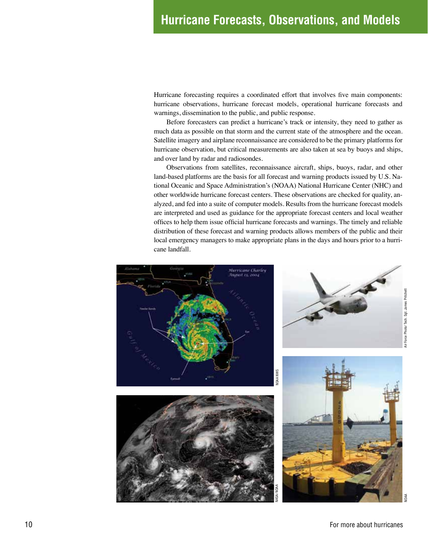Hurricane forecasting requires a coordinated effort that involves five main components: hurricane observations, hurricane forecast models, operational hurricane forecasts and warnings, dissemination to the public, and public response.

Before forecasters can predict a hurricane's track or intensity, they need to gather as much data as possible on that storm and the current state of the atmosphere and the ocean. Satellite imagery and airplane reconnaissance are considered to be the primary platforms for hurricane observation, but critical measurements are also taken at sea by buoys and ships, and over land by radar and radiosondes.

Observations from satellites, reconnaissance aircraft, ships, buoys, radar, and other land-based platforms are the basis for all forecast and warning products issued by U.S. National Oceanic and Space Administration's (NOAA) National Hurricane Center (NHC) and other worldwide hurricane forecast centers. These observations are checked for quality, analyzed, and fed into a suite of computer models. Results from the hurricane forecast models are interpreted and used as guidance for the appropriate forecast centers and local weather offices to help them issue official hurricane forecasts and warnings. The timely and reliable distribution of these forecast and warning products allows members of the public and their local emergency managers to make appropriate plans in the days and hours prior to a hurricane landfall.

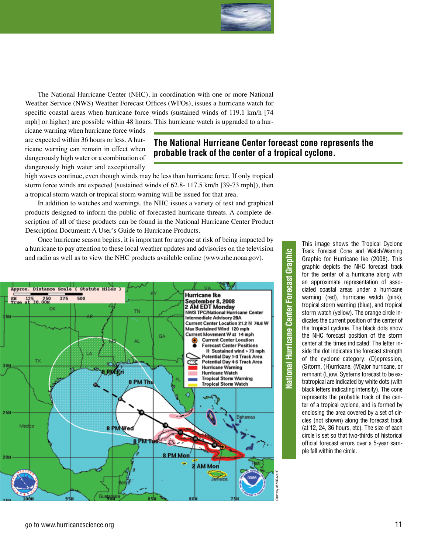

The National Hurricane Center (NHC), in coordination with one or more National Weather Service (NWS) Weather Forecast Offices (WFOs), issues a hurricane watch for specific coastal areas when hurricane force winds (sustained winds of 119.1 km/h [74 mph] or higher) are possible within 48 hours. This hurricane watch is upgraded to a hur-

ricane warning when hurricane force winds are expected within 36 hours or less. A hurricane warning can remain in effect when dangerously high water or a combination of dangerously high water and exceptionally

#### **The National Hurricane Center forecast cone represents the probable track of the center of a tropical cyclone.**

high waves continue, even though winds may be less than hurricane force. If only tropical storm force winds are expected (sustained winds of 62.8- 117.5 km/h [39-73 mph]), then a tropical storm watch or tropical storm warning will be issued for that area.

In addition to watches and warnings, the NHC issues a variety of text and graphical products designed to inform the public of forecasted hurricane threats. A complete description of all of these products can be found in the National Hurricane Center Product Description Document: A User's Guide to Hurricane Products.

Once hurricane season begins, it is important for anyone at risk of being impacted by a hurricane to pay attention to these local weather updates and advisories on the television and radio as well as to view the NHC products available online (www.nhc.noaa.gov).



Jational Hurricane Center Forecast Graphic **National Hurricane Center Forecast Graphic**

This image shows the Tropical Cyclone Track Forecast Cone and Watch/Warning Graphic for Hurricane Ike (2008). This graphic depicts the NHC forecast track for the center of a hurricane along with an approximate representation of associated coastal areas under a hurricane warning (red), hurricane watch (pink), tropical storm warning (blue), and tropical storm watch (yellow). The orange circle indicates the current position of the center of the tropical cyclone. The black dots show the NHC forecast position of the storm center at the times indicated. The letter inside the dot indicates the forecast strength of the cyclone category: (D)epression, (S)torm, (H)urricane, (M)ajor hurricane, or remnant (L)ow. Systems forecast to be extratropical are indicated by white dots (with black letters indicating intensity). The cone represents the probable track of the center of a tropical cyclone, and is formed by enclosing the area covered by a set of circles (not shown) along the forecast track (at 12, 24, 36 hours, etc). The size of each circle is set so that two-thirds of historical official forecast errors over a 5-year sample fall within the circle.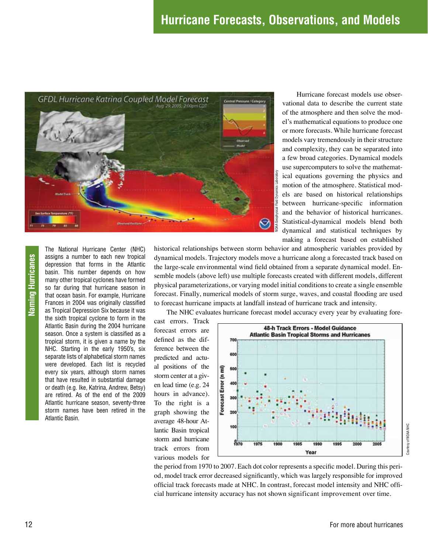

Hurricane forecast models use observational data to describe the current state of the atmosphere and then solve the model's mathematical equations to produce one or more forecasts. While hurricane forecast models vary tremendously in their structure and complexity, they can be separated into a few broad categories. Dynamical models use supercomputers to solve the mathematical equations governing the physics and motion of the atmosphere. Statistical models are based on historical relationships between hurricane-specific information and the behavior of historical hurricanes. Statistical-dynamical models blend both dynamical and statistical techniques by making a forecast based on established

historical relationships between storm behavior and atmospheric variables provided by dynamical models. Trajectory models move a hurricane along a forecasted track based on the large-scale environmental wind field obtained from a separate dynamical model. Ensemble models (above left) use multiple forecasts created with different models, different physical parameterizations, or varying model initial conditions to create a single ensemble forecast. Finally, numerical models of storm surge, waves, and coastal flooding are used to forecast hurricane impacts at landfall instead of hurricane track and intensity.

The NHC evaluates hurricane forecast model accuracy every year by evaluating fore-

cast errors. Track forecast errors are defined as the difference between the predicted and actual positions of the storm center at a given lead time (e.g. 24 hours in advance). To the right is a graph showing the average 48-hour Atlantic Basin tropical storm and hurricane track errors from various models for



the period from 1970 to 2007. Each dot color represents a specific model. During this period, model track error decreased significantly, which was largely responsible for improved official track forecasts made at NHC. In contrast, forecast model intensity and NHC official hurricane intensity accuracy has not shown significant improvement over time.

assigns a number to each new tropical depression that forms in the Atlantic basin. This number depends on how many other tropical cyclones have formed so far during that hurricane season in that ocean basin. For example, Hurricane Frances in 2004 was originally classified as Tropical Depression Six because it was the sixth tropical cyclone to form in the Atlantic Basin during the 2004 hurricane season. Once a system is classified as a tropical storm, it is given a name by the NHC. Starting in the early 1950's, six separate lists of alphabetical storm names were developed. Each list is recycled every six years, although storm names that have resulted in substantial damage or death (e.g. Ike, Katrina, Andrew, Betsy) are retired. As of the end of the 2009 Atlantic hurricane season, seventy-three storm names have been retired in the Atlantic Basin.

The National Hurricane Center (NHC)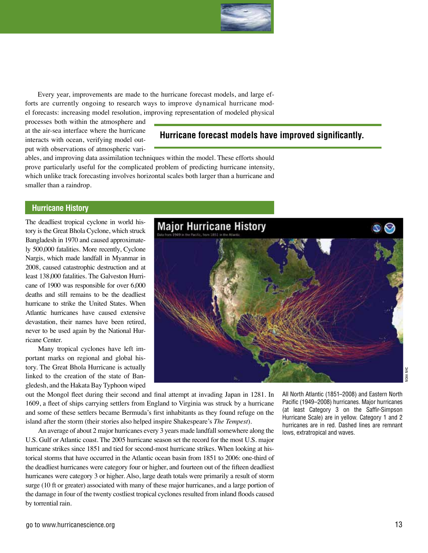

Every year, improvements are made to the hurricane forecast models, and large efforts are currently ongoing to research ways to improve dynamical hurricane model forecasts: increasing model resolution, improving representation of modeled physical

processes both within the atmosphere and at the air-sea interface where the hurricane interacts with ocean, verifying model output with observations of atmospheric vari-

#### **Hurricane forecast models have improved significantly.**

ables, and improving data assimilation techniques within the model. These efforts should prove particularly useful for the complicated problem of predicting hurricane intensity, which unlike track forecasting involves horizontal scales both larger than a hurricane and smaller than a raindrop.

#### **Hurricane History**

The deadliest tropical cyclone in world history is the Great Bhola Cyclone, which struck Bangladesh in 1970 and caused approximately 500,000 fatalities. More recently, Cyclone Nargis, which made landfall in Myanmar in 2008, caused catastrophic destruction and at least 138,000 fatalities. The Galveston Hurricane of 1900 was responsible for over 6,000 deaths and still remains to be the deadliest hurricane to strike the United States. When Atlantic hurricanes have caused extensive devastation, their names have been retired, never to be used again by the National Hurricane Center.

Many tropical cyclones have left important marks on regional and global history. The Great Bhola Hurricane is actually linked to the creation of the state of Bangledesh, and the Hakata Bay Typhoon wiped



out the Mongol fleet during their second and final attempt at invading Japan in 1281. In 1609, a fleet of ships carrying settlers from England to Virginia was struck by a hurricane and some of these settlers became Bermuda's first inhabitants as they found refuge on the island after the storm (their stories also helped inspire Shakespeare's *The Tempest*).

An average of about 2 major hurricanes every 3 years made landfall somewhere along the U.S. Gulf or Atlantic coast. The 2005 hurricane season set the record for the most U.S. major hurricane strikes since 1851 and tied for second-most hurricane strikes. When looking at historical storms that have occurred in the Atlantic ocean basin from 1851 to 2006: one-third of the deadliest hurricanes were category four or higher, and fourteen out of the fifteen deadliest hurricanes were category 3 or higher. Also, large death totals were primarily a result of storm surge (10 ft or greater) associated with many of these major hurricanes, and a large portion of the damage in four of the twenty costliest tropical cyclones resulted from inland floods caused by torrential rain.

All North Atlantic (1851–2008) and Eastern North Pacific (1949–2008) hurricanes. Major hurricanes (at least Category 3 on the Saffir-Simpson Hurricane Scale) are in yellow. Category 1 and 2 hurricanes are in red. Dashed lines are remnant lows, extratropical and waves.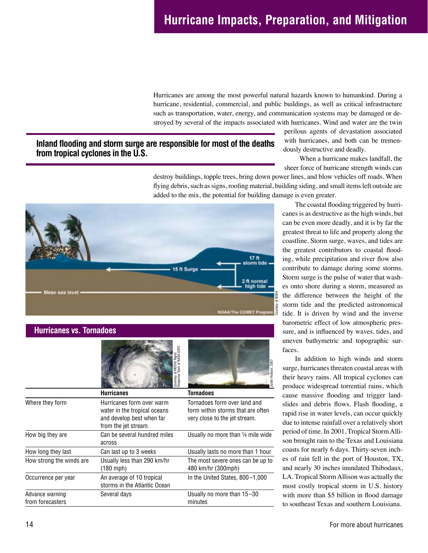Hurricanes are among the most powerful natural hazards known to humankind. During a hurricane, residential, commercial, and public buildings, as well as critical infrastructure such as transportation, water, energy, and communication systems may be damaged or destroyed by several of the impacts associated with hurricanes. Wind and water are the twin

#### **Inland flooding and storm surge are responsible for most of the deaths from tropical cyclones in the U.S.**

perilous agents of devastation associated with hurricanes, and both can be tremendously destructive and deadly.

 When a hurricane makes landfall, the sheer force of hurricane strength winds can

destroy buildings, topple trees, bring down power lines, and blow vehicles off roads. When flying debris, such as signs, roofing material, building siding, and small items left outside are added to the mix, the potential for building damage is even greater.



| <b>Hurricanes vs. Tornadoes</b>     |                                                                                                                |                                                                                                    |
|-------------------------------------|----------------------------------------------------------------------------------------------------------------|----------------------------------------------------------------------------------------------------|
|                                     | Courtesy of MODIS Rapid<br>Response Team at NASA GSFC                                                          | Justin Hobson, 2007                                                                                |
|                                     | <b>Hurricanes</b>                                                                                              | Tornadoes                                                                                          |
| Where they form                     | Hurricanes form over warm<br>water in the tropical oceans<br>and develop best when far<br>from the jet stream. | Tornadoes form over land and<br>form within storms that are often<br>very close to the jet stream. |
| How big they are                    | Can be several hundred miles<br>across                                                                         | Usually no more than 1/4 mile wide                                                                 |
| How long they last                  | Can last up to 3 weeks                                                                                         | Usually lasts no more than 1 hour                                                                  |
| How strong the winds are            | Usually less than 290 km/hr<br>$(180$ mph)                                                                     | The most severe ones can be up to<br>480 km/hr (300mph)                                            |
| Occurrence per year                 | An average of 10 tropical<br>storms in the Atlantic Ocean                                                      | In the United States, 800-1,000                                                                    |
| Advance warning<br>from forecasters | Several days                                                                                                   | Usually no more than 15-30<br>minutes                                                              |

The coastal flooding triggered by hurricanes is as destructive as the high winds, but can be even more deadly, and it is by far the greatest threat to life and property along the coastline. Storm surge, waves, and tides are the greatest contributors to coastal flooding, while precipitation and river flow also contribute to damage during some storms. Storm surge is the pulse of water that washes onto shore during a storm, measured as the difference between the height of the storm tide and the predicted astronomical tide. It is driven by wind and the inverse barometric effect of low atmospheric pressure, and is influenced by waves, tides, and uneven bathymetric and topographic surfaces.

In addition to high winds and storm surge, hurricanes threaten coastal areas with their heavy rains. All tropical cyclones can produce widespread torrential rains, which cause massive flooding and trigger landslides and debris flows. Flash flooding, a rapid rise in water levels, can occur quickly due to intense rainfall over a relatively short period of time. In 2001, Tropical Storm Allison brought rain to the Texas and Louisiana coasts for nearly 6 days. Thirty-seven inches of rain fell in the port of Houston, TX, and nearly 30 inches inundated Thibodaux, LA. Tropical Storm Allison was actually the most costly tropical storm in U.S. history with more than \$5 billion in flood damage to southeast Texas and southern Louisiana.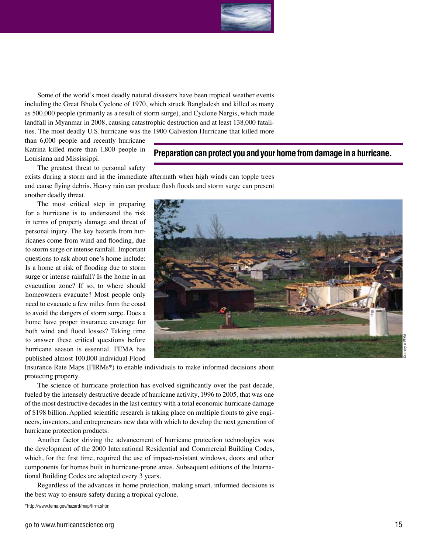

Some of the world's most deadly natural disasters have been tropical weather events including the Great Bhola Cyclone of 1970, which struck Bangladesh and killed as many as 500,000 people (primarily as a result of storm surge), and Cyclone Nargis, which made landfall in Myanmar in 2008, causing catastrophic destruction and at least 138,000 fatalities. The most deadly U.S. hurricane was the 1900 Galveston Hurricane that killed more

than 6,000 people and recently hurricane Katrina killed more than 1,800 people in Louisiana and Mississippi.

**Preparation can protect you and your home from damage in a hurricane.**

The greatest threat to personal safety

exists during a storm and in the immediate aftermath when high winds can topple trees and cause flying debris. Heavy rain can produce flash floods and storm surge can present another deadly threat.

The most critical step in preparing for a hurricane is to understand the risk in terms of property damage and threat of personal injury. The key hazards from hurricanes come from wind and flooding, due to storm surge or intense rainfall. Important questions to ask about one's home include: Is a home at risk of flooding due to storm surge or intense rainfall? Is the home in an evacuation zone? If so, to where should homeowners evacuate? Most people only need to evacuate a few miles from the coast to avoid the dangers of storm surge. Does a home have proper insurance coverage for both wind and flood losses? Taking time to answer these critical questions before hurricane season is essential. FEMA has published almost 100,000 individual Flood



Insurance Rate Maps (FIRMs\*) to enable individuals to make informed decisions about protecting property.

The science of hurricane protection has evolved significantly over the past decade, fueled by the intensely destructive decade of hurricane activity, 1996 to 2005, that was one of the most destructive decades in the last century with a total economic hurricane damage of \$198 billion. Applied scientific research is taking place on multiple fronts to give engineers, inventors, and entrepreneurs new data with which to develop the next generation of hurricane protection products.

Another factor driving the advancement of hurricane protection technologies was the development of the 2000 International Residential and Commercial Building Codes, which, for the first time, required the use of impact-resistant windows, doors and other components for homes built in hurricane-prone areas. Subsequent editions of the International Building Codes are adopted every 3 years.

Regardless of the advances in home protection, making smart, informed decisions is the best way to ensure safety during a tropical cyclone.

<sup>\*</sup>http://www.fema.gov/hazard/map/firm.shtm